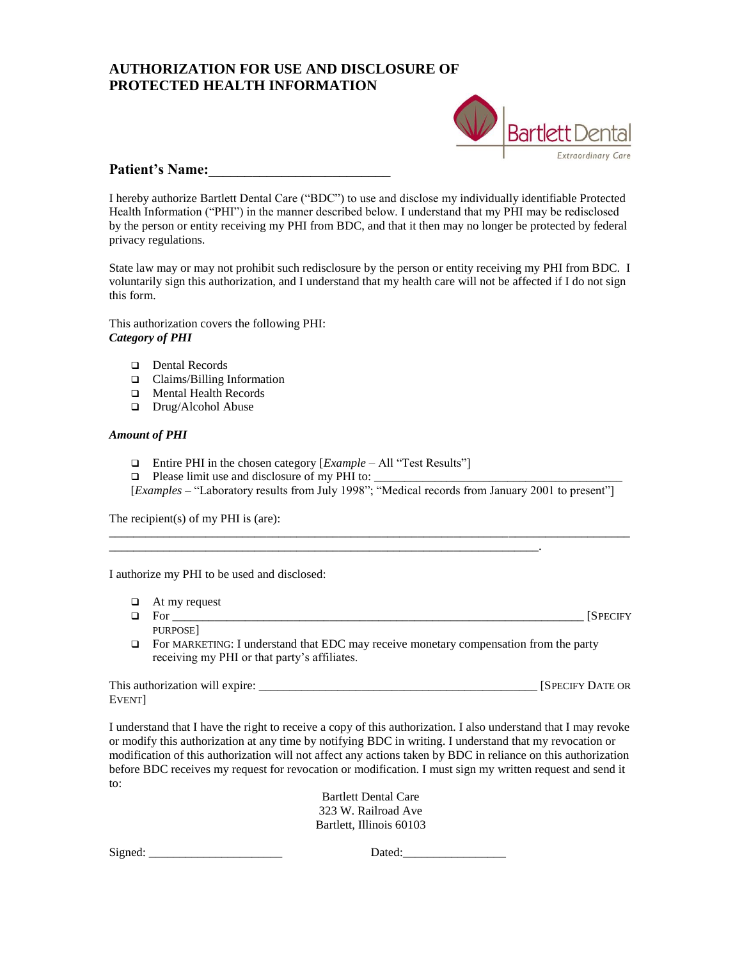## **AUTHORIZATION FOR USE AND DISCLOSURE OF PROTECTED HEALTH INFORMATION**



## Patient's Name:

I hereby authorize Bartlett Dental Care ("BDC") to use and disclose my individually identifiable Protected Health Information ("PHI") in the manner described below. I understand that my PHI may be redisclosed by the person or entity receiving my PHI from BDC, and that it then may no longer be protected by federal privacy regulations.

State law may or may not prohibit such redisclosure by the person or entity receiving my PHI from BDC. I voluntarily sign this authorization, and I understand that my health care will not be affected if I do not sign this form.

This authorization covers the following PHI: *Category of PHI*

- □ Dental Records
- Claims/Billing Information
- **I** Mental Health Records
- Drug/Alcohol Abuse

## *Amount of PHI*

Entire PHI in the chosen category [*Example* – All "Test Results"]

\_\_\_\_\_\_\_\_\_\_\_\_\_\_\_\_\_\_\_\_\_\_\_\_\_\_\_\_\_\_\_\_\_\_\_\_\_\_\_\_\_\_\_\_\_\_\_\_\_\_\_\_\_\_\_\_\_\_\_\_\_\_\_\_\_\_\_\_\_\_\_.

 $\Box$  Please limit use and disclosure of my PHI to:

receiving my PHI or that party's affiliates.

[*Examples* – "Laboratory results from July 1998"; "Medical records from January 2001 to present"]

\_\_\_\_\_\_\_\_\_\_\_\_\_\_\_\_\_\_\_\_\_\_\_\_\_\_\_\_\_\_\_\_\_\_\_\_\_\_\_\_\_\_\_\_\_\_\_\_\_\_\_\_\_\_\_\_\_\_\_\_\_\_\_\_\_\_\_\_\_\_\_\_\_\_\_\_\_\_\_\_\_\_\_\_\_\_

The recipient(s) of my PHI is (are):

I authorize my PHI to be used and disclosed:

 $\Box$  At my request For \_\_\_\_\_\_\_\_\_\_\_\_\_\_\_\_\_\_\_\_\_\_\_\_\_\_\_\_\_\_\_\_\_\_\_\_\_\_\_\_\_\_\_\_\_\_\_\_\_\_\_\_\_\_\_\_\_\_\_\_\_\_\_\_\_\_\_\_ [SPECIFY PURPOSE] For MARKETING: I understand that EDC may receive monetary compensation from the party

| This authorization will expire: | ISPECIFY DATE OR |
|---------------------------------|------------------|
| Event                           |                  |

I understand that I have the right to receive a copy of this authorization. I also understand that I may revoke or modify this authorization at any time by notifying BDC in writing. I understand that my revocation or modification of this authorization will not affect any actions taken by BDC in reliance on this authorization before BDC receives my request for revocation or modification. I must sign my written request and send it to:

> Bartlett Dental Care 323 W. Railroad Ave Bartlett, Illinois 60103

Signed: \_\_\_\_\_\_\_\_\_\_\_\_\_\_\_\_\_\_\_\_\_\_ Dated:\_\_\_\_\_\_\_\_\_\_\_\_\_\_\_\_\_